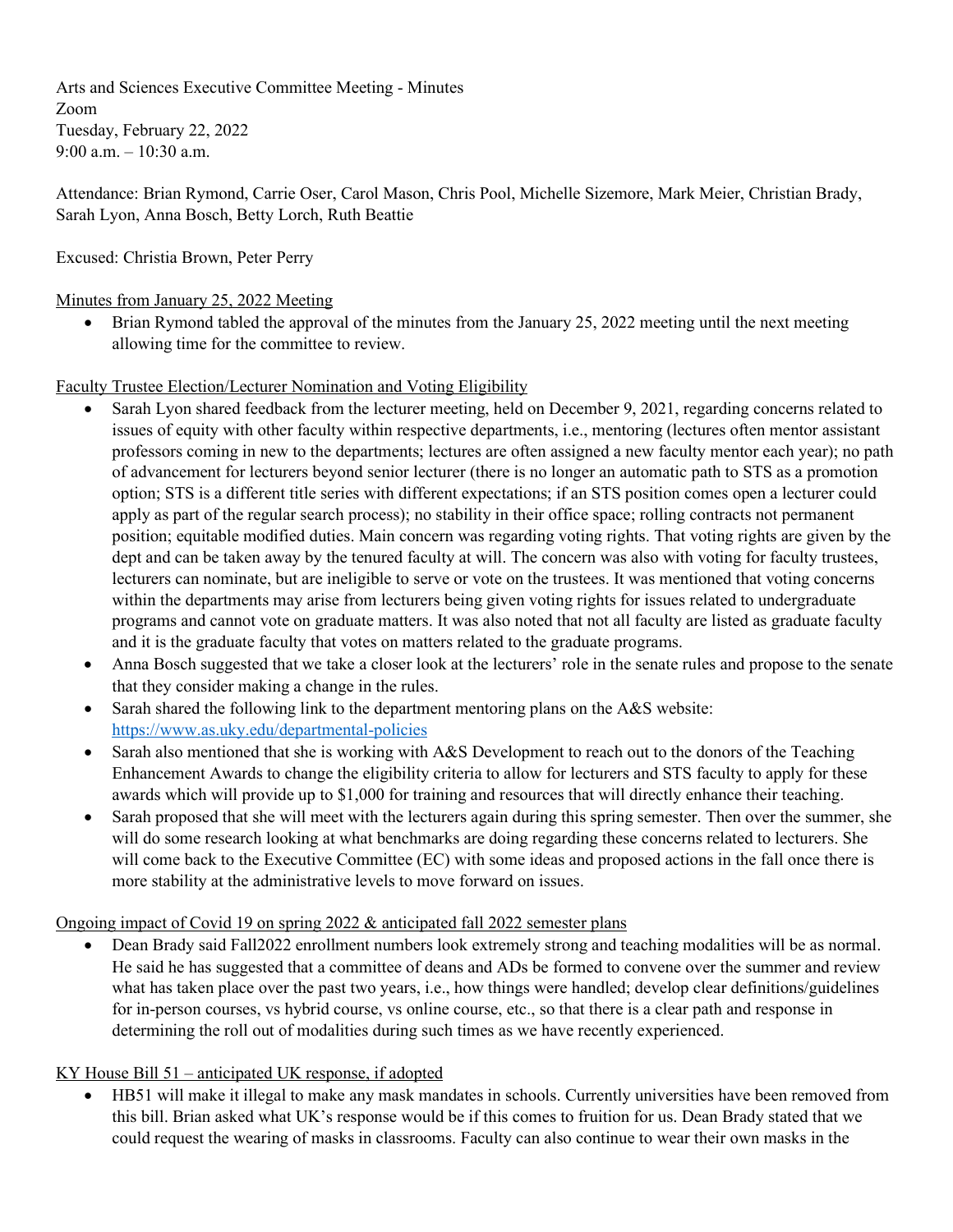Arts and Sciences Executive Committee Meeting - Minutes Zoom Tuesday, February 22, 2022 9:00 a.m. – 10:30 a.m.

Attendance: Brian Rymond, Carrie Oser, Carol Mason, Chris Pool, Michelle Sizemore, Mark Meier, Christian Brady, Sarah Lyon, Anna Bosch, Betty Lorch, Ruth Beattie

Excused: Christia Brown, Peter Perry

## Minutes from January 25, 2022 Meeting

• Brian Rymond tabled the approval of the minutes from the January 25, 2022 meeting until the next meeting allowing time for the committee to review.

Faculty Trustee Election/Lecturer Nomination and Voting Eligibility

- Sarah Lyon shared feedback from the lecturer meeting, held on December 9, 2021, regarding concerns related to issues of equity with other faculty within respective departments, i.e., mentoring (lectures often mentor assistant professors coming in new to the departments; lectures are often assigned a new faculty mentor each year); no path of advancement for lecturers beyond senior lecturer (there is no longer an automatic path to STS as a promotion option; STS is a different title series with different expectations; if an STS position comes open a lecturer could apply as part of the regular search process); no stability in their office space; rolling contracts not permanent position; equitable modified duties. Main concern was regarding voting rights. That voting rights are given by the dept and can be taken away by the tenured faculty at will. The concern was also with voting for faculty trustees, lecturers can nominate, but are ineligible to serve or vote on the trustees. It was mentioned that voting concerns within the departments may arise from lecturers being given voting rights for issues related to undergraduate programs and cannot vote on graduate matters. It was also noted that not all faculty are listed as graduate faculty and it is the graduate faculty that votes on matters related to the graduate programs.
- Anna Bosch suggested that we take a closer look at the lecturers' role in the senate rules and propose to the senate that they consider making a change in the rules.
- Sarah shared the following link to the department mentoring plans on the A&S website: <https://www.as.uky.edu/departmental-policies>
- Sarah also mentioned that she is working with A&S Development to reach out to the donors of the Teaching Enhancement Awards to change the eligibility criteria to allow for lecturers and STS faculty to apply for these awards which will provide up to \$1,000 for training and resources that will directly enhance their teaching.
- Sarah proposed that she will meet with the lecturers again during this spring semester. Then over the summer, she will do some research looking at what benchmarks are doing regarding these concerns related to lecturers. She will come back to the Executive Committee (EC) with some ideas and proposed actions in the fall once there is more stability at the administrative levels to move forward on issues.

Ongoing impact of Covid 19 on spring 2022 & anticipated fall 2022 semester plans

• Dean Brady said Fall2022 enrollment numbers look extremely strong and teaching modalities will be as normal. He said he has suggested that a committee of deans and ADs be formed to convene over the summer and review what has taken place over the past two years, i.e., how things were handled; develop clear definitions/guidelines for in-person courses, vs hybrid course, vs online course, etc., so that there is a clear path and response in determining the roll out of modalities during such times as we have recently experienced.

# KY House Bill 51 – anticipated UK response, if adopted

• HB51 will make it illegal to make any mask mandates in schools. Currently universities have been removed from this bill. Brian asked what UK's response would be if this comes to fruition for us. Dean Brady stated that we could request the wearing of masks in classrooms. Faculty can also continue to wear their own masks in the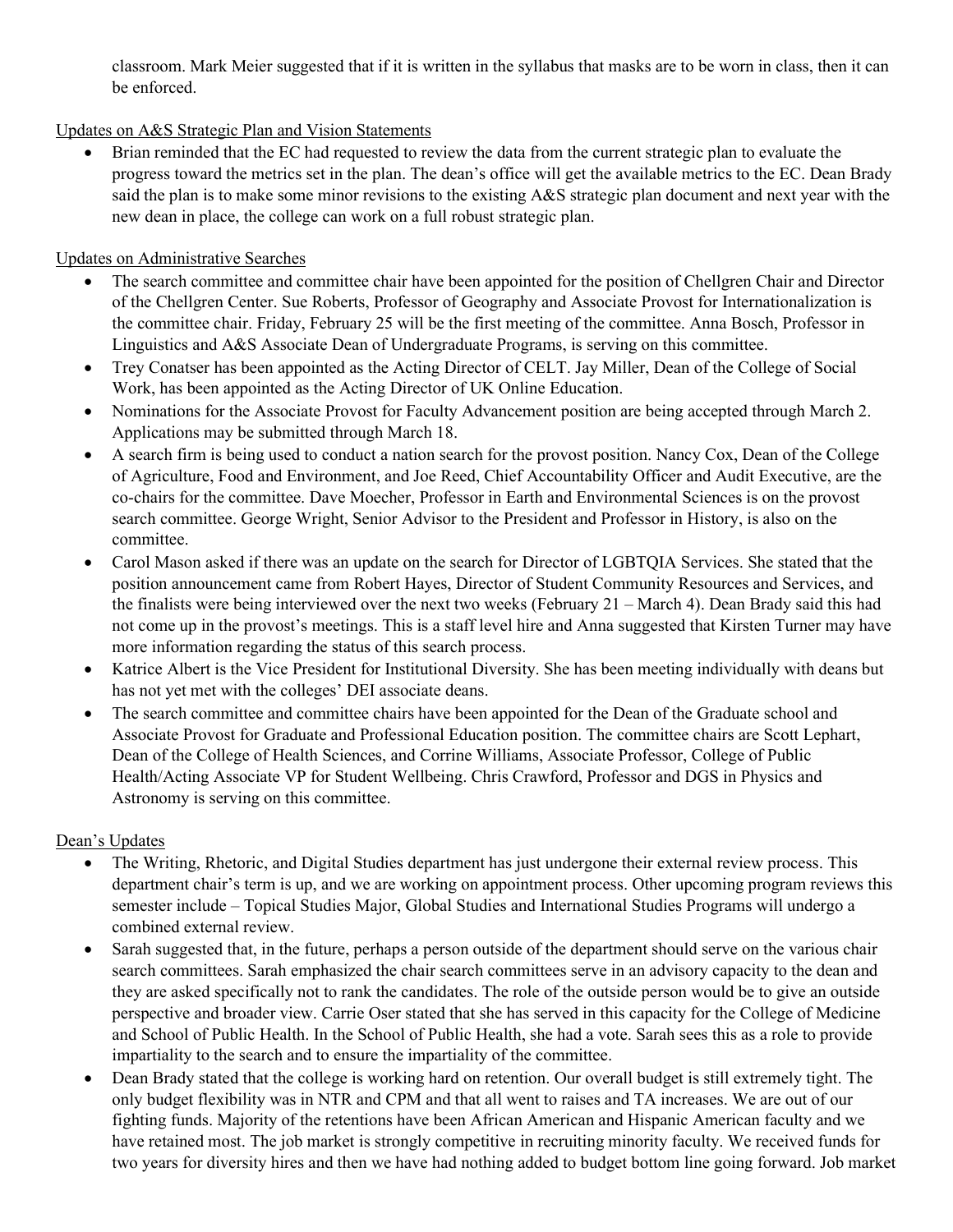classroom. Mark Meier suggested that if it is written in the syllabus that masks are to be worn in class, then it can be enforced.

## Updates on A&S Strategic Plan and Vision Statements

• Brian reminded that the EC had requested to review the data from the current strategic plan to evaluate the progress toward the metrics set in the plan. The dean's office will get the available metrics to the EC. Dean Brady said the plan is to make some minor revisions to the existing A&S strategic plan document and next year with the new dean in place, the college can work on a full robust strategic plan.

### Updates on Administrative Searches

- The search committee and committee chair have been appointed for the position of Chellgren Chair and Director of the Chellgren Center. Sue Roberts, Professor of Geography and Associate Provost for Internationalization is the committee chair. Friday, February 25 will be the first meeting of the committee. Anna Bosch, Professor in Linguistics and A&S Associate Dean of Undergraduate Programs, is serving on this committee.
- Trey Conatser has been appointed as the Acting Director of CELT. Jay Miller, Dean of the College of Social Work, has been appointed as the Acting Director of UK Online Education.
- Nominations for the Associate Provost for Faculty Advancement position are being accepted through March 2. Applications may be submitted through March 18.
- A search firm is being used to conduct a nation search for the provost position. Nancy Cox, Dean of the College of Agriculture, Food and Environment, and Joe Reed, Chief Accountability Officer and Audit Executive, are the co-chairs for the committee. Dave Moecher, Professor in Earth and Environmental Sciences is on the provost search committee. George Wright, Senior Advisor to the President and Professor in History, is also on the committee.
- Carol Mason asked if there was an update on the search for Director of LGBTQIA Services. She stated that the position announcement came from Robert Hayes, Director of Student Community Resources and Services, and the finalists were being interviewed over the next two weeks (February 21 – March 4). Dean Brady said this had not come up in the provost's meetings. This is a staff level hire and Anna suggested that Kirsten Turner may have more information regarding the status of this search process.
- Katrice Albert is the Vice President for Institutional Diversity. She has been meeting individually with deans but has not yet met with the colleges' DEI associate deans.
- The search committee and committee chairs have been appointed for the Dean of the Graduate school and Associate Provost for Graduate and Professional Education position. The committee chairs are Scott Lephart, Dean of the College of Health Sciences, and Corrine Williams, Associate Professor, College of Public Health/Acting Associate VP for Student Wellbeing. Chris Crawford, Professor and DGS in Physics and Astronomy is serving on this committee.

#### Dean's Updates

- The Writing, Rhetoric, and Digital Studies department has just undergone their external review process. This department chair's term is up, and we are working on appointment process. Other upcoming program reviews this semester include – Topical Studies Major, Global Studies and International Studies Programs will undergo a combined external review.
- Sarah suggested that, in the future, perhaps a person outside of the department should serve on the various chair search committees. Sarah emphasized the chair search committees serve in an advisory capacity to the dean and they are asked specifically not to rank the candidates. The role of the outside person would be to give an outside perspective and broader view. Carrie Oser stated that she has served in this capacity for the College of Medicine and School of Public Health. In the School of Public Health, she had a vote. Sarah sees this as a role to provide impartiality to the search and to ensure the impartiality of the committee.
- Dean Brady stated that the college is working hard on retention. Our overall budget is still extremely tight. The only budget flexibility was in NTR and CPM and that all went to raises and TA increases. We are out of our fighting funds. Majority of the retentions have been African American and Hispanic American faculty and we have retained most. The job market is strongly competitive in recruiting minority faculty. We received funds for two years for diversity hires and then we have had nothing added to budget bottom line going forward. Job market